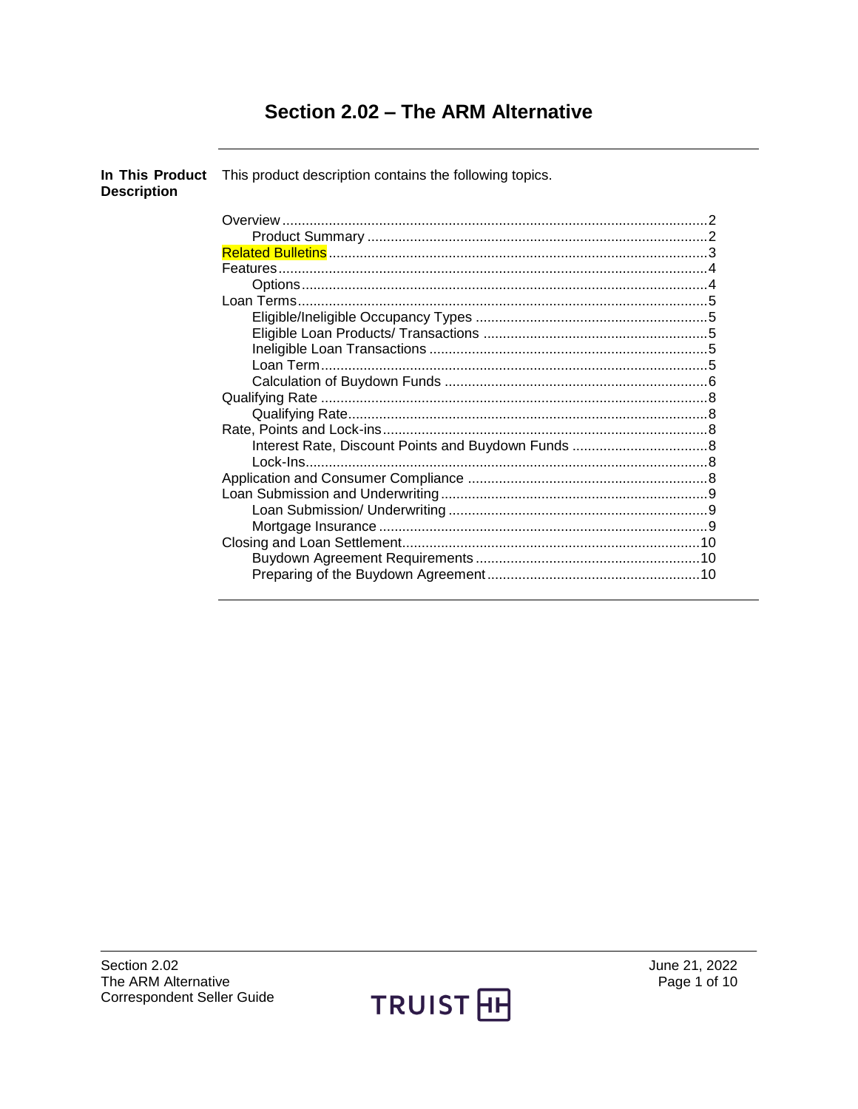# Section 2.02 - The ARM Alternative

| <b>Description</b> | In This Product This product description contains the following topics. |  |
|--------------------|-------------------------------------------------------------------------|--|
|                    |                                                                         |  |
|                    |                                                                         |  |
|                    |                                                                         |  |
|                    |                                                                         |  |
|                    |                                                                         |  |
|                    |                                                                         |  |
|                    |                                                                         |  |
|                    |                                                                         |  |
|                    |                                                                         |  |
|                    |                                                                         |  |
|                    |                                                                         |  |
|                    |                                                                         |  |
|                    |                                                                         |  |
|                    |                                                                         |  |
|                    |                                                                         |  |
|                    |                                                                         |  |
|                    |                                                                         |  |
|                    |                                                                         |  |
|                    |                                                                         |  |
|                    |                                                                         |  |
|                    |                                                                         |  |
|                    |                                                                         |  |
|                    |                                                                         |  |
|                    |                                                                         |  |

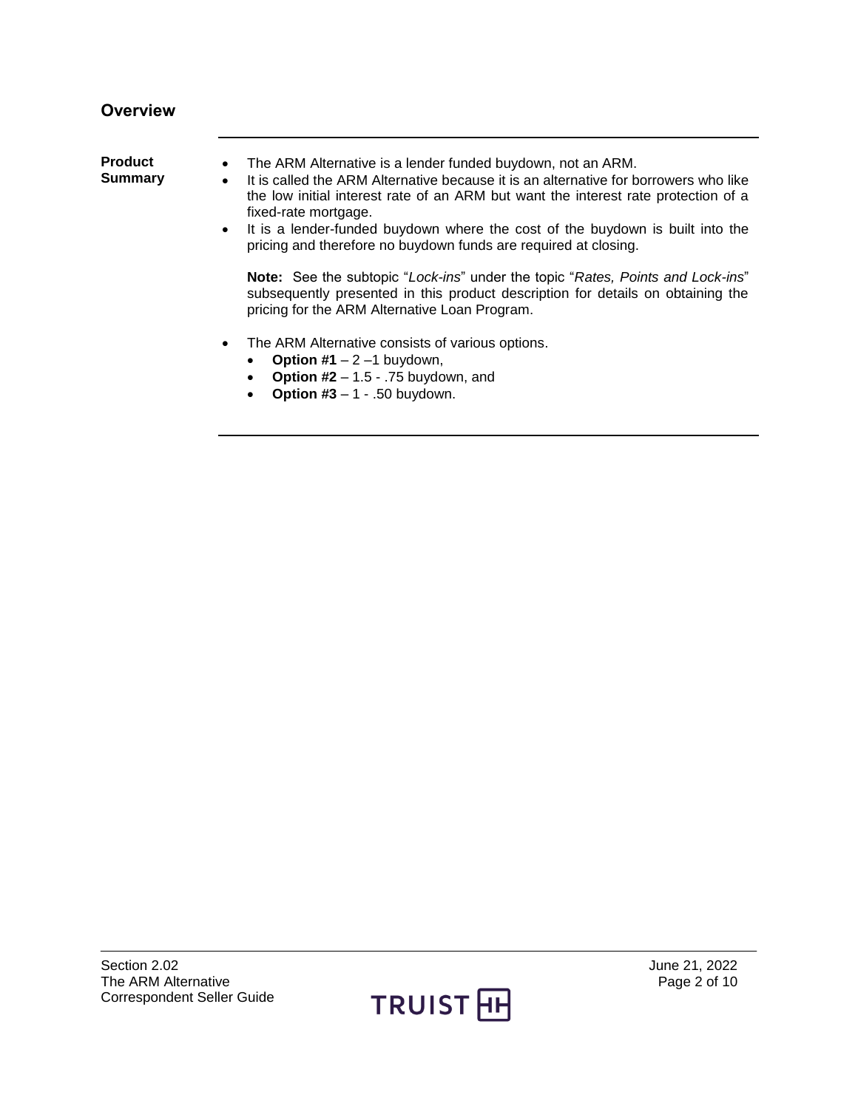## <span id="page-1-0"></span>**Overview**

<span id="page-1-1"></span>

| <b>Product</b><br>Summary | The ARM Alternative is a lender funded buydown, not an ARM.<br>It is called the ARM Alternative because it is an alternative for borrowers who like<br>$\bullet$<br>the low initial interest rate of an ARM but want the interest rate protection of a<br>fixed-rate mortgage.<br>It is a lender-funded buydown where the cost of the buydown is built into the<br>$\bullet$<br>pricing and therefore no buydown funds are required at closing. |
|---------------------------|-------------------------------------------------------------------------------------------------------------------------------------------------------------------------------------------------------------------------------------------------------------------------------------------------------------------------------------------------------------------------------------------------------------------------------------------------|
|                           | Note: See the subtopic "Lock-ins" under the topic "Rates, Points and Lock-ins"<br>subsequently presented in this product description for details on obtaining the<br>pricing for the ARM Alternative Loan Program.                                                                                                                                                                                                                              |
|                           | The ARM Alternative consists of various options.<br>$\bullet$<br><b>Option #1</b> $-2$ $-1$ buydown,<br><b>Option #2</b> $- 1.5 - .75$ buydown, and<br><b>Option #3</b> $- 1 - .50$ buydown.                                                                                                                                                                                                                                                    |

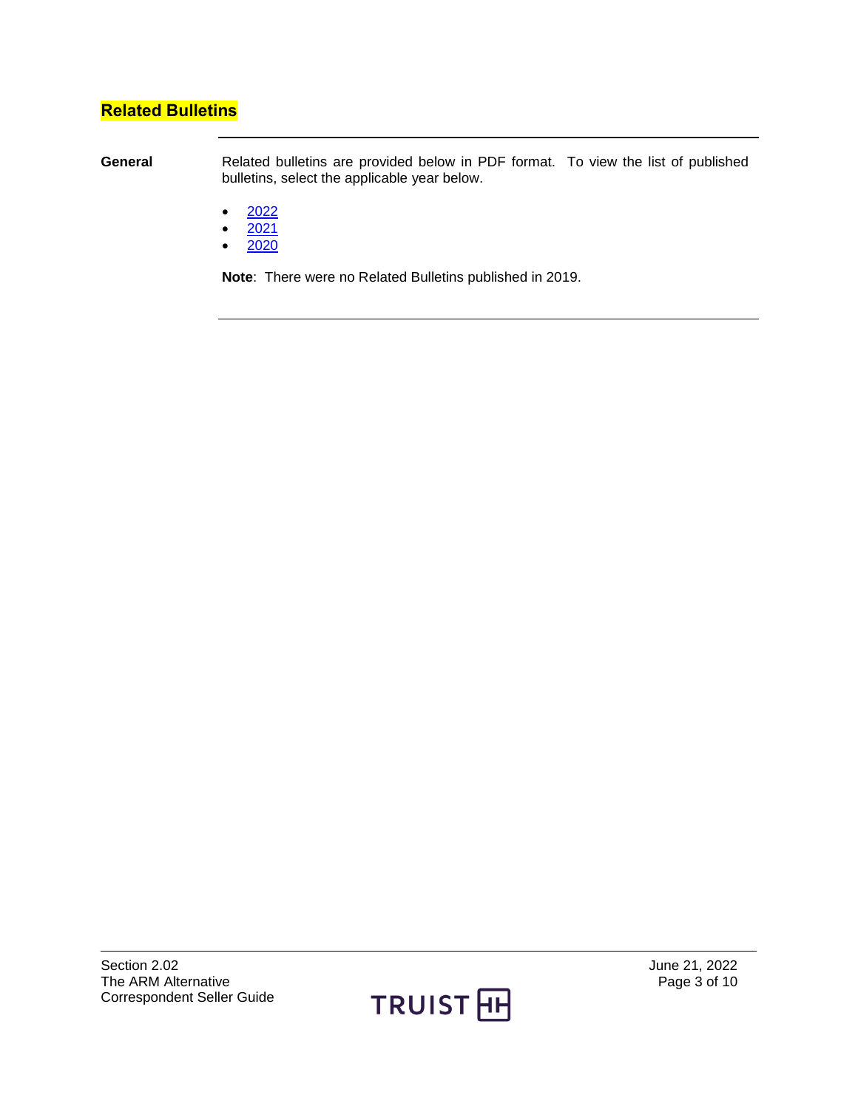## <span id="page-2-0"></span>**Related Bulletins**

**General** Related bulletins are provided below in PDF format. To view the list of published bulletins, select the applicable year below.

- $\bullet$  [2022](https://truistsellerguide.com/manual/cor/bulletins/Related%20Bulletins/2022/CARMAlt2022.pdf)
- $2021$
- $\bullet$  [2020](https://truistsellerguide.com/manual/cor/bulletins/Related%20Bulletins/2020/CARMAlt2020.pdf)

**Note**: There were no Related Bulletins published in 2019.

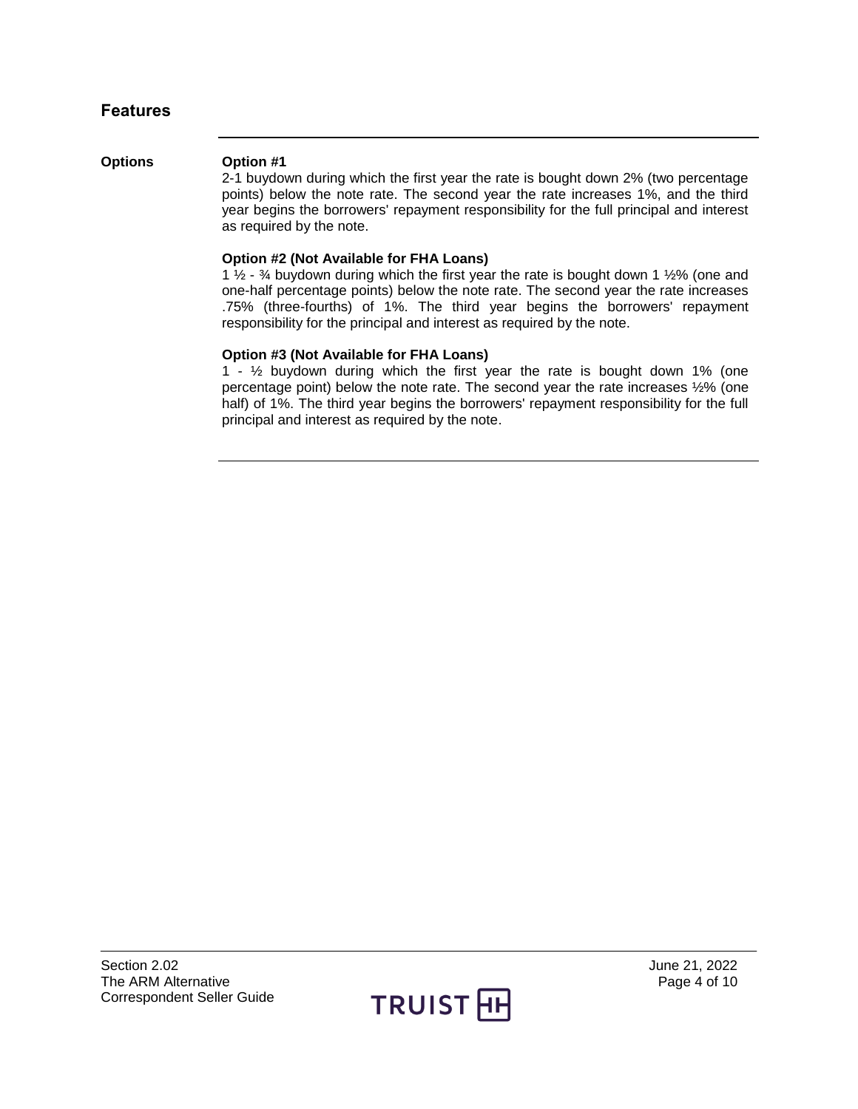### <span id="page-3-0"></span>**Features**

#### <span id="page-3-1"></span>**Options Option #1**

2-1 buydown during which the first year the rate is bought down 2% (two percentage points) below the note rate. The second year the rate increases 1%, and the third year begins the borrowers' repayment responsibility for the full principal and interest as required by the note.

#### **Option #2 (Not Available for FHA Loans)**

1  $\frac{1}{2}$  -  $\frac{3}{4}$  buydown during which the first year the rate is bought down 1  $\frac{1}{2}\%$  (one and one-half percentage points) below the note rate. The second year the rate increases .75% (three-fourths) of 1%. The third year begins the borrowers' repayment responsibility for the principal and interest as required by the note.

#### **Option #3 (Not Available for FHA Loans)**

1 -  $\frac{1}{2}$  buydown during which the first year the rate is bought down 1% (one percentage point) below the note rate. The second year the rate increases ½% (one half) of 1%. The third year begins the borrowers' repayment responsibility for the full principal and interest as required by the note.

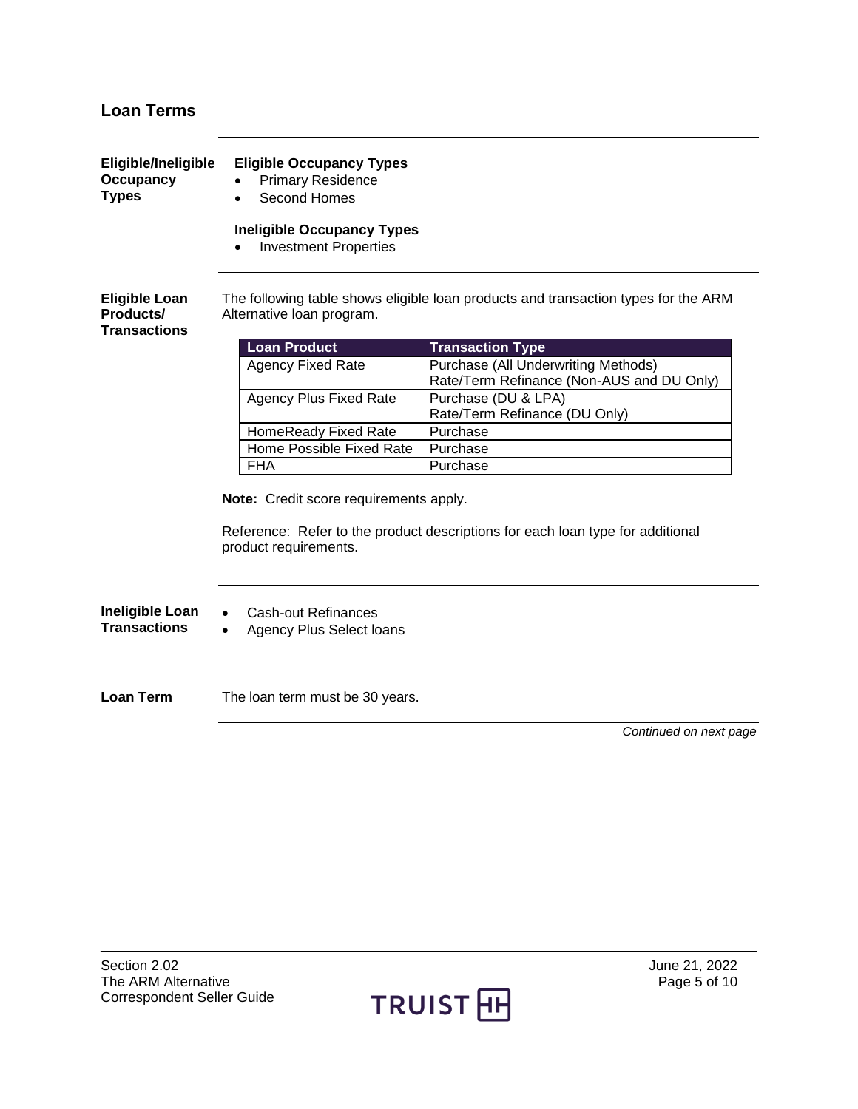## <span id="page-4-0"></span>**Loan Terms**

<span id="page-4-2"></span><span id="page-4-1"></span>

| Eligible/Ineligible<br><b>Occupancy</b><br><b>Types</b> | <b>Eligible Occupancy Types</b><br><b>Primary Residence</b><br><b>Second Homes</b>                                                                |                                                                                    |  |  |  |
|---------------------------------------------------------|---------------------------------------------------------------------------------------------------------------------------------------------------|------------------------------------------------------------------------------------|--|--|--|
|                                                         | <b>Ineligible Occupancy Types</b><br><b>Investment Properties</b>                                                                                 |                                                                                    |  |  |  |
| <b>Eligible Loan</b><br>Products/<br>Transactions       | Alternative loan program.                                                                                                                         | The following table shows eligible loan products and transaction types for the ARM |  |  |  |
|                                                         | <b>Loan Product</b>                                                                                                                               | <b>Transaction Type</b>                                                            |  |  |  |
|                                                         | <b>Agency Fixed Rate</b>                                                                                                                          | Purchase (All Underwriting Methods)<br>Rate/Term Refinance (Non-AUS and DU Only)   |  |  |  |
|                                                         | <b>Agency Plus Fixed Rate</b>                                                                                                                     | Purchase (DU & LPA)                                                                |  |  |  |
|                                                         |                                                                                                                                                   | Rate/Term Refinance (DU Only)                                                      |  |  |  |
|                                                         | HomeReady Fixed Rate                                                                                                                              | Purchase                                                                           |  |  |  |
|                                                         | Home Possible Fixed Rate                                                                                                                          | Purchase                                                                           |  |  |  |
|                                                         | <b>FHA</b>                                                                                                                                        | Purchase                                                                           |  |  |  |
|                                                         | Note: Credit score requirements apply.<br>Reference: Refer to the product descriptions for each loan type for additional<br>product requirements. |                                                                                    |  |  |  |
| Ineligible Loan<br><b>Transactions</b>                  | Cash-out Refinances<br>Agency Plus Select loans<br>$\bullet$                                                                                      |                                                                                    |  |  |  |
| <b>Loan Term</b>                                        | The loan term must be 30 years.                                                                                                                   |                                                                                    |  |  |  |
|                                                         |                                                                                                                                                   | Continued on next page                                                             |  |  |  |

<span id="page-4-4"></span><span id="page-4-3"></span>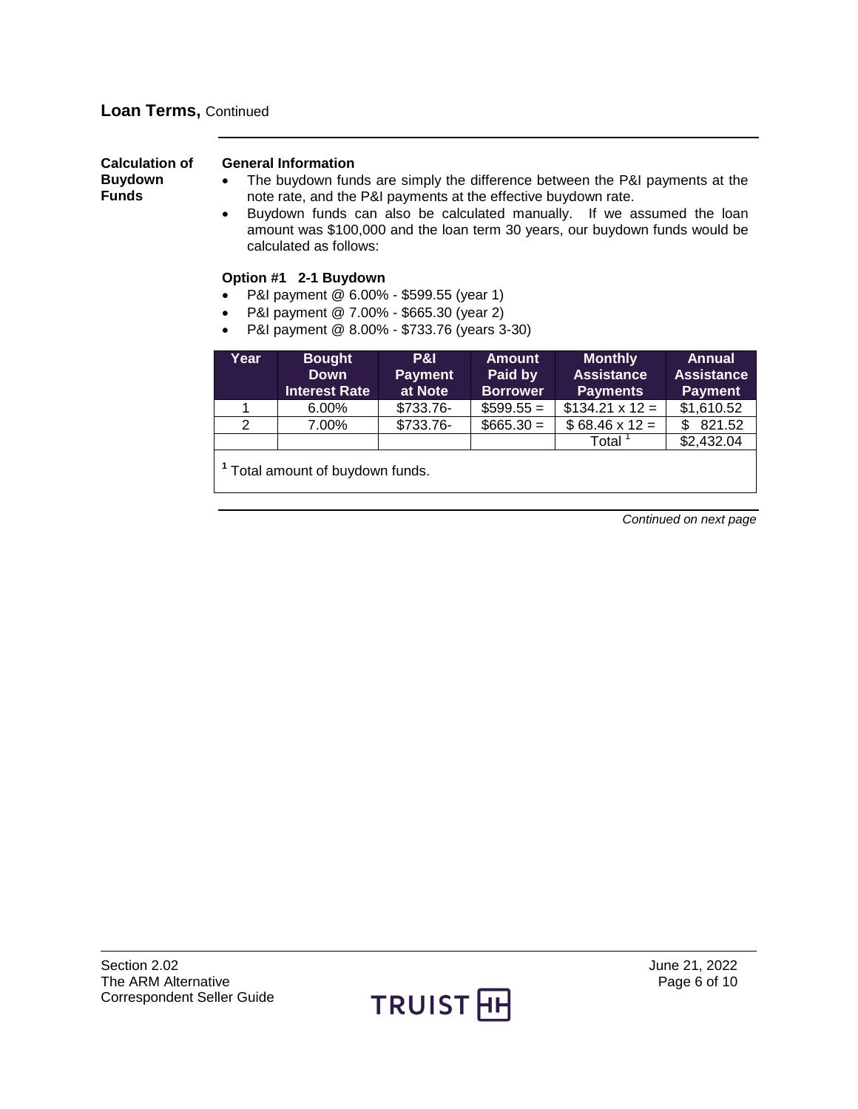<span id="page-5-0"></span>

| <b>Calculation of</b><br><b>Buydown</b><br>Funds | <b>General Information</b><br>The buydown funds are simply the difference between the P&I payments at the<br>note rate, and the P&I payments at the effective buydown rate.<br>Buydown funds can also be calculated manually. If we assumed the loan<br>$\bullet$<br>amount was \$100,000 and the loan term 30 years, our buydown funds would be<br>calculated as follows: |                                                                                                                                                            |                                  |                                             |                                                        |                                                      |
|--------------------------------------------------|----------------------------------------------------------------------------------------------------------------------------------------------------------------------------------------------------------------------------------------------------------------------------------------------------------------------------------------------------------------------------|------------------------------------------------------------------------------------------------------------------------------------------------------------|----------------------------------|---------------------------------------------|--------------------------------------------------------|------------------------------------------------------|
|                                                  | $\bullet$<br>$\bullet$                                                                                                                                                                                                                                                                                                                                                     | Option #1 2-1 Buydown<br>P&I payment @ 6.00% - \$599.55 (year 1)<br>P&I payment @ 7.00% - \$665.30 (year 2)<br>P&I payment @ 8.00% - \$733.76 (years 3-30) |                                  |                                             |                                                        |                                                      |
|                                                  | Year                                                                                                                                                                                                                                                                                                                                                                       | <b>Bought</b><br><b>Down</b><br><b>Interest Rate</b>                                                                                                       | P&I<br><b>Payment</b><br>at Note | <b>Amount</b><br>Paid by<br><b>Borrower</b> | <b>Monthly</b><br><b>Assistance</b><br><b>Payments</b> | <b>Annual</b><br><b>Assistance</b><br><b>Payment</b> |
|                                                  |                                                                                                                                                                                                                                                                                                                                                                            | $6.00\%$                                                                                                                                                   | \$733.76-                        | $$599.55 =$                                 | $$134.21 \times 12 =$                                  | \$1,610.52                                           |
|                                                  | 2                                                                                                                                                                                                                                                                                                                                                                          | 7.00%                                                                                                                                                      | \$733.76-                        | $$665.30 =$                                 | $$68.46 \times 12 =$                                   | \$821.52                                             |
|                                                  |                                                                                                                                                                                                                                                                                                                                                                            |                                                                                                                                                            |                                  |                                             | Total <sup>1</sup>                                     | \$2,432.04                                           |
|                                                  | Total amount of buydown funds.                                                                                                                                                                                                                                                                                                                                             |                                                                                                                                                            |                                  |                                             |                                                        |                                                      |

*Continued on next page*

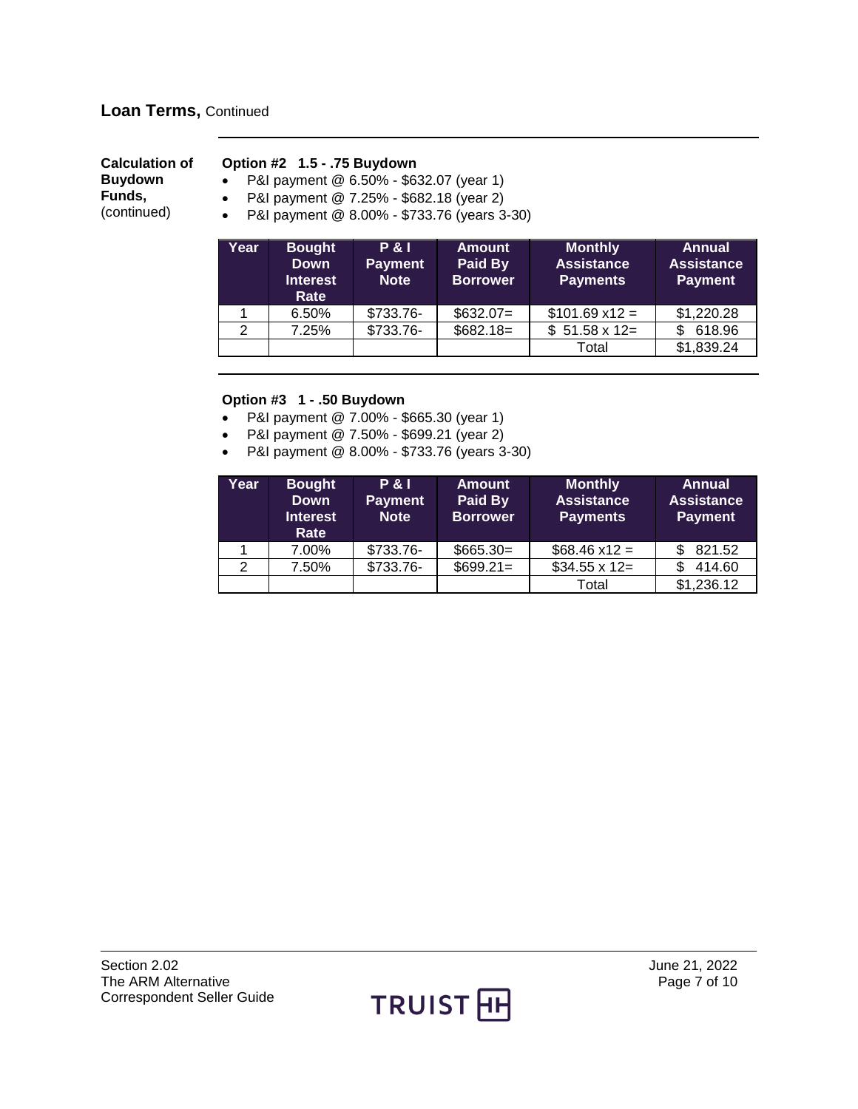### **Loan Terms,** Continued

| <b>Calculation of</b> | Option #2 1.5 - .75 Buydown                                                                              |
|-----------------------|----------------------------------------------------------------------------------------------------------|
| <b>Buydown</b>        | P&I payment @ 6.50% - \$632.07 (year 1)<br>$\bullet$                                                     |
| Funds.<br>(continued) | • P&I payment $@ 7.25\%$ - \$682.18 (year 2)<br>P&I payment @ 8.00% - \$733.76 (years 3-30)<br>$\bullet$ |

| Year | <b>Bought</b><br><b>Down</b><br><b>Interest</b><br>Rate | <b>P&amp;I</b><br><b>Payment</b><br><b>Note</b> | <b>Amount</b><br>Paid By<br><b>Borrower</b> | <b>Monthly</b><br><b>Assistance</b><br><b>Payments</b> | <b>Annual</b><br><b>Assistance</b><br><b>Payment</b> |
|------|---------------------------------------------------------|-------------------------------------------------|---------------------------------------------|--------------------------------------------------------|------------------------------------------------------|
|      | 6.50%                                                   | \$733.76-                                       | $$632.07=$                                  | $$101.69 \times 12 =$                                  | \$1,220.28                                           |
| 2    | 7.25%                                                   | \$733.76-                                       | $$682.18=$                                  | $$51.58 \times 12=$                                    | 618.96<br>\$.                                        |
|      |                                                         |                                                 |                                             | Total                                                  | \$1,839.24                                           |

#### **Option #3 1 - .50 Buydown**

- P&I payment @ 7.00% \$665.30 (year 1)
- P&I payment @ 7.50% \$699.21 (year 2)
- P&I payment @ 8.00% \$733.76 (years 3-30)

| Year | <b>Bought</b><br><b>Down</b><br><b>Interest</b><br>Rate | <b>P&amp;I</b><br><b>Payment</b><br><b>Note</b> | <b>Amount</b><br>Paid By<br><b>Borrower</b> | <b>Monthly</b><br><b>Assistance</b><br><b>Payments</b> | <b>Annual</b><br><b>Assistance</b><br><b>Payment</b> |
|------|---------------------------------------------------------|-------------------------------------------------|---------------------------------------------|--------------------------------------------------------|------------------------------------------------------|
|      | 7.00%                                                   | \$733.76-                                       | $$665.30=$                                  | $$68.46 \times 12 =$                                   | 821.52                                               |
| 2    | 7.50%                                                   | \$733.76-                                       | $$699.21=$                                  | $$34.55 \times 12 =$                                   | 414.60                                               |
|      |                                                         |                                                 |                                             | Total                                                  | \$1,236.12                                           |

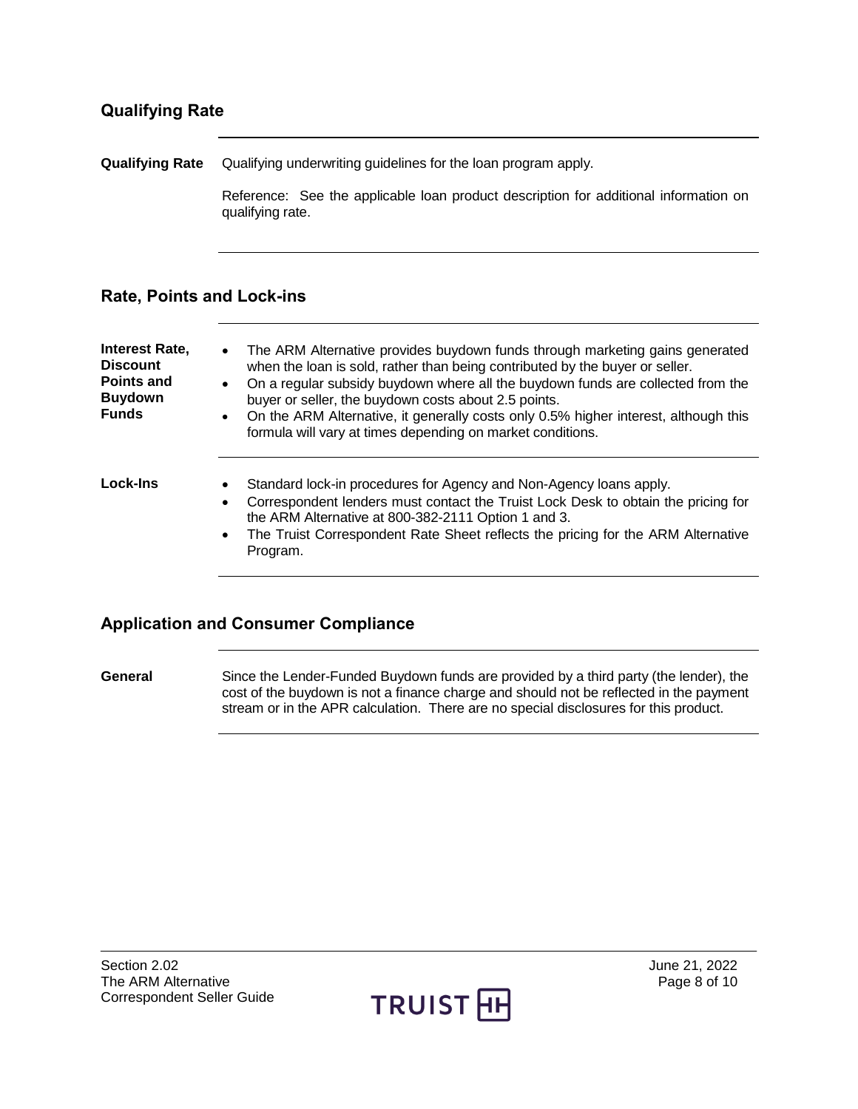### <span id="page-7-0"></span>**Qualifying Rate**

<span id="page-7-1"></span>**Qualifying Rate** Qualifying underwriting guidelines for the loan program apply.

Reference: See the applicable loan product description for additional information on qualifying rate.

### <span id="page-7-2"></span>**Rate, Points and Lock-ins**

<span id="page-7-3"></span>

| <b>Interest Rate,</b><br><b>Discount</b><br><b>Points and</b><br><b>Buydown</b><br><b>Funds</b> | The ARM Alternative provides buydown funds through marketing gains generated<br>$\bullet$<br>when the loan is sold, rather than being contributed by the buyer or seller.<br>On a regular subsidy buydown where all the buydown funds are collected from the<br>$\bullet$<br>buyer or seller, the buydown costs about 2.5 points.<br>On the ARM Alternative, it generally costs only 0.5% higher interest, although this<br>$\bullet$<br>formula will vary at times depending on market conditions. |
|-------------------------------------------------------------------------------------------------|-----------------------------------------------------------------------------------------------------------------------------------------------------------------------------------------------------------------------------------------------------------------------------------------------------------------------------------------------------------------------------------------------------------------------------------------------------------------------------------------------------|
| Lock-Ins                                                                                        | Standard lock-in procedures for Agency and Non-Agency loans apply.<br>٠<br>Correspondent lenders must contact the Truist Lock Desk to obtain the pricing for<br>$\bullet$<br>the ARM Alternative at 800-382-2111 Option 1 and 3.<br>The Truist Correspondent Rate Sheet reflects the pricing for the ARM Alternative<br>$\bullet$<br>Program.                                                                                                                                                       |

### <span id="page-7-5"></span><span id="page-7-4"></span>**Application and Consumer Compliance**

**General** Since the Lender-Funded Buydown funds are provided by a third party (the lender), the cost of the buydown is not a finance charge and should not be reflected in the payment stream or in the APR calculation. There are no special disclosures for this product.

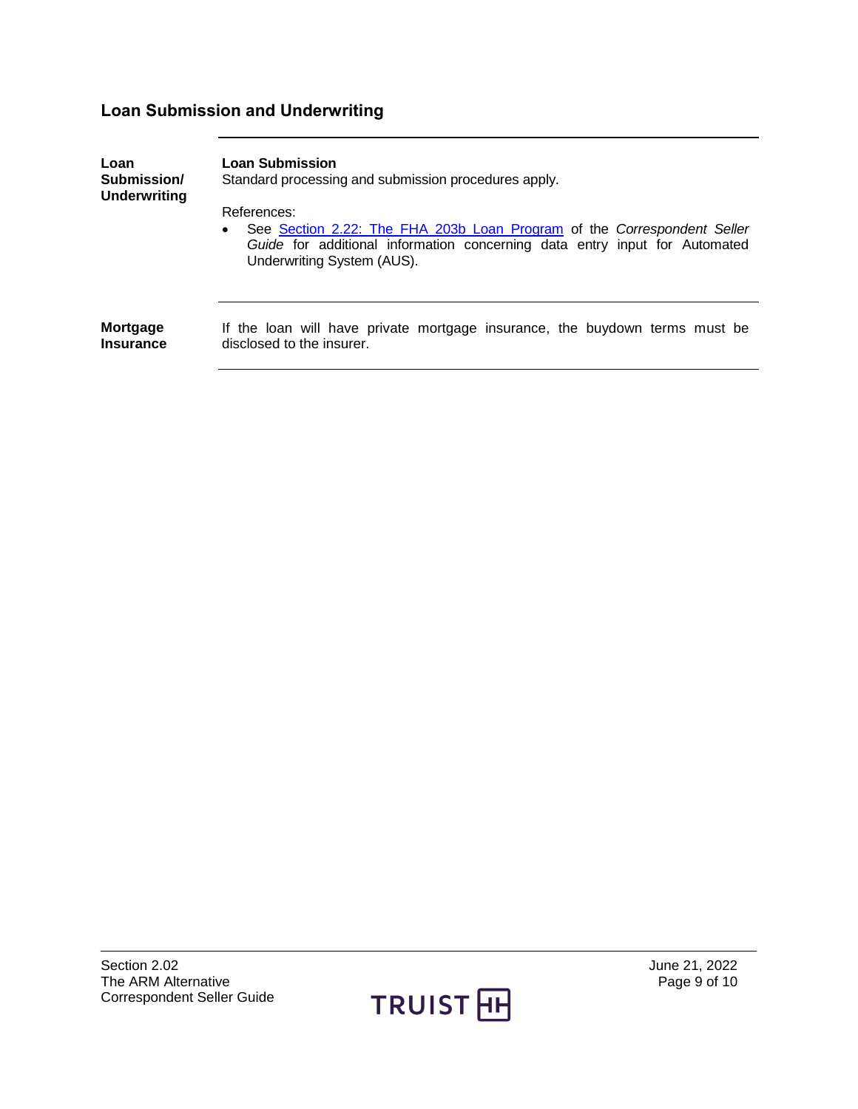# <span id="page-8-0"></span>**Loan Submission and Underwriting**

<span id="page-8-2"></span><span id="page-8-1"></span>

| Loan<br>Submission/<br><b>Underwriting</b> | <b>Loan Submission</b><br>Standard processing and submission procedures apply.                                                                                                                                  |
|--------------------------------------------|-----------------------------------------------------------------------------------------------------------------------------------------------------------------------------------------------------------------|
|                                            | References:<br>See Section 2.22: The FHA 203b Loan Program of the Correspondent Seller<br>$\bullet$<br>Guide for additional information concerning data entry input for Automated<br>Underwriting System (AUS). |
| Mortgage<br><b>Insurance</b>               | If the loan will have private mortgage insurance, the buydown terms must be<br>disclosed to the insurer.                                                                                                        |